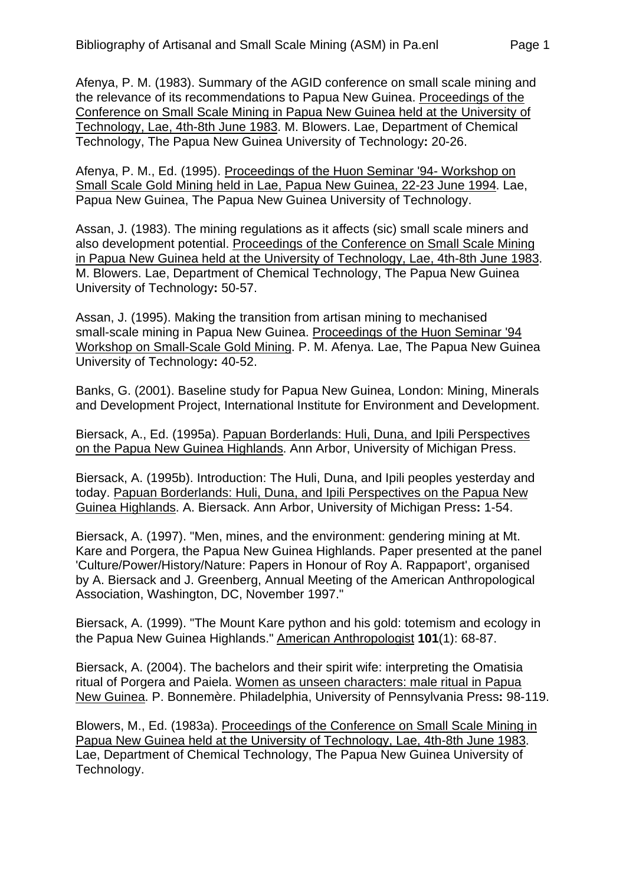Afenya, P. M. (1983). Summary of the AGID conference on small scale mining and the relevance of its recommendations to Papua New Guinea. Proceedings of the Conference on Small Scale Mining in Papua New Guinea held at the University of Technology, Lae, 4th-8th June 1983. M. Blowers. Lae, Department of Chemical Technology, The Papua New Guinea University of Technology**:** 20-26.

Afenya, P. M., Ed. (1995). Proceedings of the Huon Seminar '94- Workshop on Small Scale Gold Mining held in Lae, Papua New Guinea, 22-23 June 1994. Lae, Papua New Guinea, The Papua New Guinea University of Technology.

Assan, J. (1983). The mining regulations as it affects (sic) small scale miners and also development potential. Proceedings of the Conference on Small Scale Mining in Papua New Guinea held at the University of Technology, Lae, 4th-8th June 1983. M. Blowers. Lae, Department of Chemical Technology, The Papua New Guinea University of Technology**:** 50-57.

Assan, J. (1995). Making the transition from artisan mining to mechanised small-scale mining in Papua New Guinea. Proceedings of the Huon Seminar '94 Workshop on Small-Scale Gold Mining. P. M. Afenya. Lae, The Papua New Guinea University of Technology**:** 40-52.

Banks, G. (2001). Baseline study for Papua New Guinea, London: Mining, Minerals and Development Project, International Institute for Environment and Development.

Biersack, A., Ed. (1995a). Papuan Borderlands: Huli, Duna, and Ipili Perspectives on the Papua New Guinea Highlands. Ann Arbor, University of Michigan Press.

Biersack, A. (1995b). Introduction: The Huli, Duna, and Ipili peoples yesterday and today. Papuan Borderlands: Huli, Duna, and Ipili Perspectives on the Papua New Guinea Highlands. A. Biersack. Ann Arbor, University of Michigan Press**:** 1-54.

Biersack, A. (1997). "Men, mines, and the environment: gendering mining at Mt. Kare and Porgera, the Papua New Guinea Highlands. Paper presented at the panel 'Culture/Power/History/Nature: Papers in Honour of Roy A. Rappaport', organised by A. Biersack and J. Greenberg, Annual Meeting of the American Anthropological Association, Washington, DC, November 1997."

Biersack, A. (1999). "The Mount Kare python and his gold: totemism and ecology in the Papua New Guinea Highlands." American Anthropologist **101**(1): 68-87.

Biersack, A. (2004). The bachelors and their spirit wife: interpreting the Omatisia ritual of Porgera and Paiela. Women as unseen characters: male ritual in Papua New Guinea. P. Bonnemère. Philadelphia, University of Pennsylvania Press**:** 98-119.

Blowers, M., Ed. (1983a). Proceedings of the Conference on Small Scale Mining in Papua New Guinea held at the University of Technology, Lae, 4th-8th June 1983. Lae, Department of Chemical Technology, The Papua New Guinea University of Technology.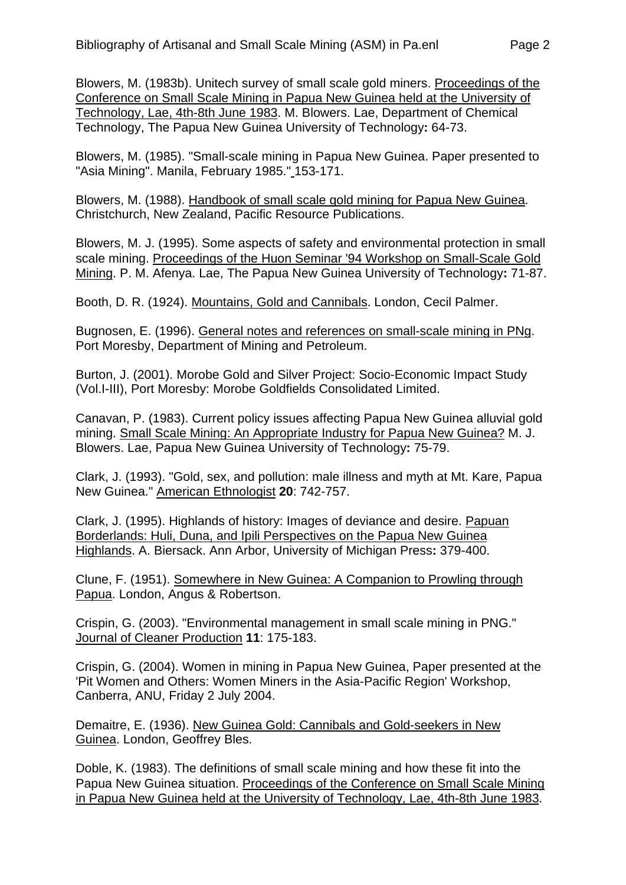Blowers, M. (1983b). Unitech survey of small scale gold miners. Proceedings of the Conference on Small Scale Mining in Papua New Guinea held at the University of Technology, Lae, 4th-8th June 1983. M. Blowers. Lae, Department of Chemical Technology, The Papua New Guinea University of Technology**:** 64-73.

Blowers, M. (1985). "Small-scale mining in Papua New Guinea. Paper presented to "Asia Mining". Manila, February 1985." 153-171.

Blowers, M. (1988). Handbook of small scale gold mining for Papua New Guinea. Christchurch, New Zealand, Pacific Resource Publications.

Blowers, M. J. (1995). Some aspects of safety and environmental protection in small scale mining. Proceedings of the Huon Seminar '94 Workshop on Small-Scale Gold Mining. P. M. Afenya. Lae, The Papua New Guinea University of Technology**:** 71-87.

Booth, D. R. (1924). Mountains, Gold and Cannibals. London, Cecil Palmer.

Bugnosen, E. (1996). General notes and references on small-scale mining in PNg. Port Moresby, Department of Mining and Petroleum.

Burton, J. (2001). Morobe Gold and Silver Project: Socio-Economic Impact Study (Vol.I-III), Port Moresby: Morobe Goldfields Consolidated Limited.

Canavan, P. (1983). Current policy issues affecting Papua New Guinea alluvial gold mining. Small Scale Mining: An Appropriate Industry for Papua New Guinea? M. J. Blowers. Lae, Papua New Guinea University of Technology**:** 75-79.

Clark, J. (1993). "Gold, sex, and pollution: male illness and myth at Mt. Kare, Papua New Guinea." American Ethnologist **20**: 742-757.

Clark, J. (1995). Highlands of history: Images of deviance and desire. Papuan Borderlands: Huli, Duna, and Ipili Perspectives on the Papua New Guinea Highlands. A. Biersack. Ann Arbor, University of Michigan Press**:** 379-400.

Clune, F. (1951). Somewhere in New Guinea: A Companion to Prowling through Papua. London, Angus & Robertson.

Crispin, G. (2003). "Environmental management in small scale mining in PNG." Journal of Cleaner Production **11**: 175-183.

Crispin, G. (2004). Women in mining in Papua New Guinea, Paper presented at the 'Pit Women and Others: Women Miners in the Asia-Pacific Region' Workshop, Canberra, ANU, Friday 2 July 2004.

Demaitre, E. (1936). New Guinea Gold: Cannibals and Gold-seekers in New Guinea. London, Geoffrey Bles.

Doble, K. (1983). The definitions of small scale mining and how these fit into the Papua New Guinea situation. Proceedings of the Conference on Small Scale Mining in Papua New Guinea held at the University of Technology, Lae, 4th-8th June 1983.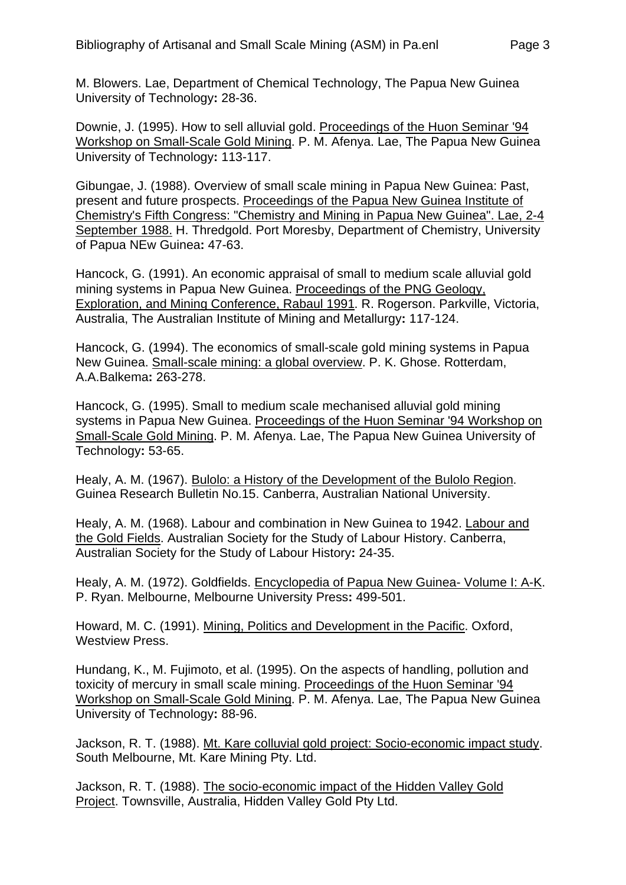M. Blowers. Lae, Department of Chemical Technology, The Papua New Guinea University of Technology**:** 28-36.

Downie, J. (1995). How to sell alluvial gold. Proceedings of the Huon Seminar '94 Workshop on Small-Scale Gold Mining. P. M. Afenya. Lae, The Papua New Guinea University of Technology**:** 113-117.

Gibungae, J. (1988). Overview of small scale mining in Papua New Guinea: Past, present and future prospects. Proceedings of the Papua New Guinea Institute of Chemistry's Fifth Congress: "Chemistry and Mining in Papua New Guinea". Lae, 2-4 September 1988. H. Thredgold. Port Moresby, Department of Chemistry, University of Papua NEw Guinea**:** 47-63.

Hancock, G. (1991). An economic appraisal of small to medium scale alluvial gold mining systems in Papua New Guinea. Proceedings of the PNG Geology, Exploration, and Mining Conference, Rabaul 1991. R. Rogerson. Parkville, Victoria, Australia, The Australian Institute of Mining and Metallurgy**:** 117-124.

Hancock, G. (1994). The economics of small-scale gold mining systems in Papua New Guinea. Small-scale mining: a global overview. P. K. Ghose. Rotterdam, A.A.Balkema**:** 263-278.

Hancock, G. (1995). Small to medium scale mechanised alluvial gold mining systems in Papua New Guinea. Proceedings of the Huon Seminar '94 Workshop on Small-Scale Gold Mining. P. M. Afenya. Lae, The Papua New Guinea University of Technology**:** 53-65.

Healy, A. M. (1967). Bulolo: a History of the Development of the Bulolo Region. Guinea Research Bulletin No.15. Canberra, Australian National University.

Healy, A. M. (1968). Labour and combination in New Guinea to 1942. Labour and the Gold Fields. Australian Society for the Study of Labour History. Canberra, Australian Society for the Study of Labour History**:** 24-35.

Healy, A. M. (1972). Goldfields. Encyclopedia of Papua New Guinea- Volume I: A-K. P. Ryan. Melbourne, Melbourne University Press**:** 499-501.

Howard, M. C. (1991). Mining, Politics and Development in the Pacific. Oxford, Westview Press.

Hundang, K., M. Fujimoto, et al. (1995). On the aspects of handling, pollution and toxicity of mercury in small scale mining. Proceedings of the Huon Seminar '94 Workshop on Small-Scale Gold Mining. P. M. Afenya. Lae, The Papua New Guinea University of Technology**:** 88-96.

Jackson, R. T. (1988). Mt. Kare colluvial gold project: Socio-economic impact study. South Melbourne, Mt. Kare Mining Pty. Ltd.

Jackson, R. T. (1988). The socio-economic impact of the Hidden Valley Gold Project. Townsville, Australia, Hidden Valley Gold Pty Ltd.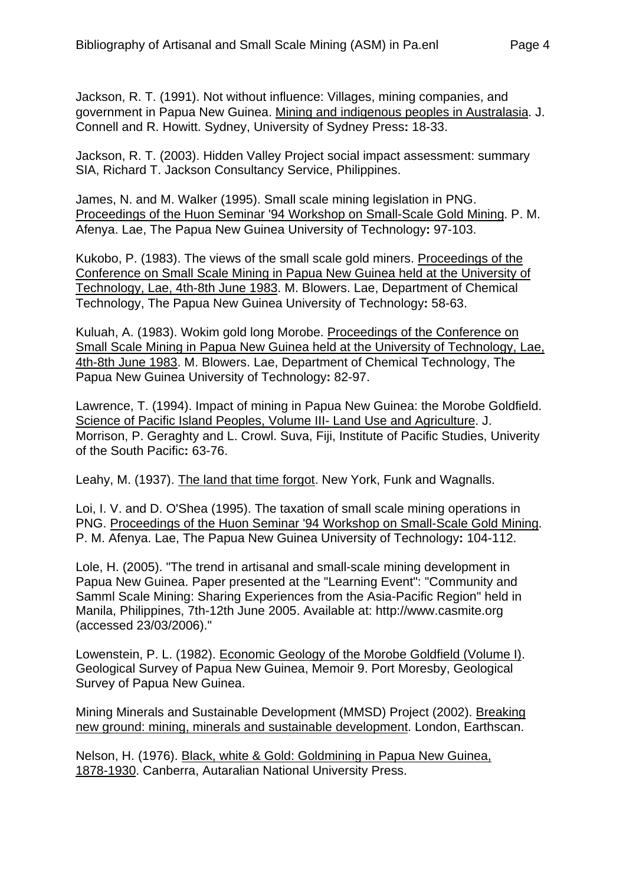Jackson, R. T. (1991). Not without influence: Villages, mining companies, and government in Papua New Guinea. Mining and indigenous peoples in Australasia. J. Connell and R. Howitt. Sydney, University of Sydney Press**:** 18-33.

Jackson, R. T. (2003). Hidden Valley Project social impact assessment: summary SIA, Richard T. Jackson Consultancy Service, Philippines.

James, N. and M. Walker (1995). Small scale mining legislation in PNG. Proceedings of the Huon Seminar '94 Workshop on Small-Scale Gold Mining. P. M. Afenya. Lae, The Papua New Guinea University of Technology**:** 97-103.

Kukobo, P. (1983). The views of the small scale gold miners. Proceedings of the Conference on Small Scale Mining in Papua New Guinea held at the University of Technology, Lae, 4th-8th June 1983. M. Blowers. Lae, Department of Chemical Technology, The Papua New Guinea University of Technology**:** 58-63.

Kuluah, A. (1983). Wokim gold long Morobe. Proceedings of the Conference on Small Scale Mining in Papua New Guinea held at the University of Technology, Lae, 4th-8th June 1983. M. Blowers. Lae, Department of Chemical Technology, The Papua New Guinea University of Technology**:** 82-97.

Lawrence, T. (1994). Impact of mining in Papua New Guinea: the Morobe Goldfield. Science of Pacific Island Peoples, Volume III- Land Use and Agriculture. J. Morrison, P. Geraghty and L. Crowl. Suva, Fiji, Institute of Pacific Studies, Univerity of the South Pacific**:** 63-76.

Leahy, M. (1937). The land that time forgot. New York, Funk and Wagnalls.

Loi, I. V. and D. O'Shea (1995). The taxation of small scale mining operations in PNG. Proceedings of the Huon Seminar '94 Workshop on Small-Scale Gold Mining. P. M. Afenya. Lae, The Papua New Guinea University of Technology**:** 104-112.

Lole, H. (2005). "The trend in artisanal and small-scale mining development in Papua New Guinea. Paper presented at the "Learning Event": "Community and Samml Scale Mining: Sharing Experiences from the Asia-Pacific Region" held in Manila, Philippines, 7th-12th June 2005. Available at: http://www.casmite.org (accessed 23/03/2006)."

Lowenstein, P. L. (1982). Economic Geology of the Morobe Goldfield (Volume I). Geological Survey of Papua New Guinea, Memoir 9. Port Moresby, Geological Survey of Papua New Guinea.

Mining Minerals and Sustainable Development (MMSD) Project (2002). Breaking new ground: mining, minerals and sustainable development. London, Earthscan.

Nelson, H. (1976). Black, white & Gold: Goldmining in Papua New Guinea, 1878-1930. Canberra, Autaralian National University Press.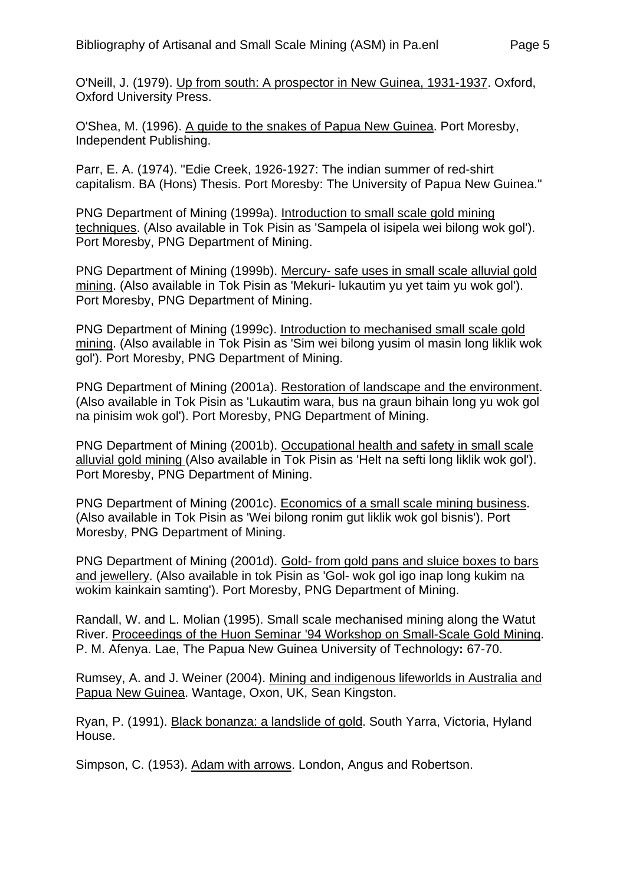O'Neill, J. (1979). Up from south: A prospector in New Guinea, 1931-1937. Oxford, Oxford University Press.

O'Shea, M. (1996). A guide to the snakes of Papua New Guinea. Port Moresby, Independent Publishing.

Parr, E. A. (1974). "Edie Creek, 1926-1927: The indian summer of red-shirt capitalism. BA (Hons) Thesis. Port Moresby: The University of Papua New Guinea."

PNG Department of Mining (1999a). Introduction to small scale gold mining techniques. (Also available in Tok Pisin as 'Sampela ol isipela wei bilong wok gol'). Port Moresby, PNG Department of Mining.

PNG Department of Mining (1999b). Mercury- safe uses in small scale alluvial gold mining. (Also available in Tok Pisin as 'Mekuri- lukautim yu yet taim yu wok gol'). Port Moresby, PNG Department of Mining.

PNG Department of Mining (1999c). Introduction to mechanised small scale gold mining. (Also available in Tok Pisin as 'Sim wei bilong yusim ol masin long liklik wok gol'). Port Moresby, PNG Department of Mining.

PNG Department of Mining (2001a). Restoration of landscape and the environment. (Also available in Tok Pisin as 'Lukautim wara, bus na graun bihain long yu wok gol na pinisim wok gol'). Port Moresby, PNG Department of Mining.

PNG Department of Mining (2001b). Occupational health and safety in small scale alluvial gold mining (Also available in Tok Pisin as 'Helt na sefti long liklik wok gol'). Port Moresby, PNG Department of Mining.

PNG Department of Mining (2001c). Economics of a small scale mining business. (Also available in Tok Pisin as 'Wei bilong ronim gut liklik wok gol bisnis'). Port Moresby, PNG Department of Mining.

PNG Department of Mining (2001d). Gold- from gold pans and sluice boxes to bars and jewellery. (Also available in tok Pisin as 'Gol- wok gol igo inap long kukim na wokim kainkain samting'). Port Moresby, PNG Department of Mining.

Randall, W. and L. Molian (1995). Small scale mechanised mining along the Watut River. Proceedings of the Huon Seminar '94 Workshop on Small-Scale Gold Mining. P. M. Afenya. Lae, The Papua New Guinea University of Technology**:** 67-70.

Rumsey, A. and J. Weiner (2004). Mining and indigenous lifeworlds in Australia and Papua New Guinea. Wantage, Oxon, UK, Sean Kingston.

Ryan, P. (1991). Black bonanza: a landslide of gold. South Yarra, Victoria, Hyland House.

Simpson, C. (1953). Adam with arrows. London, Angus and Robertson.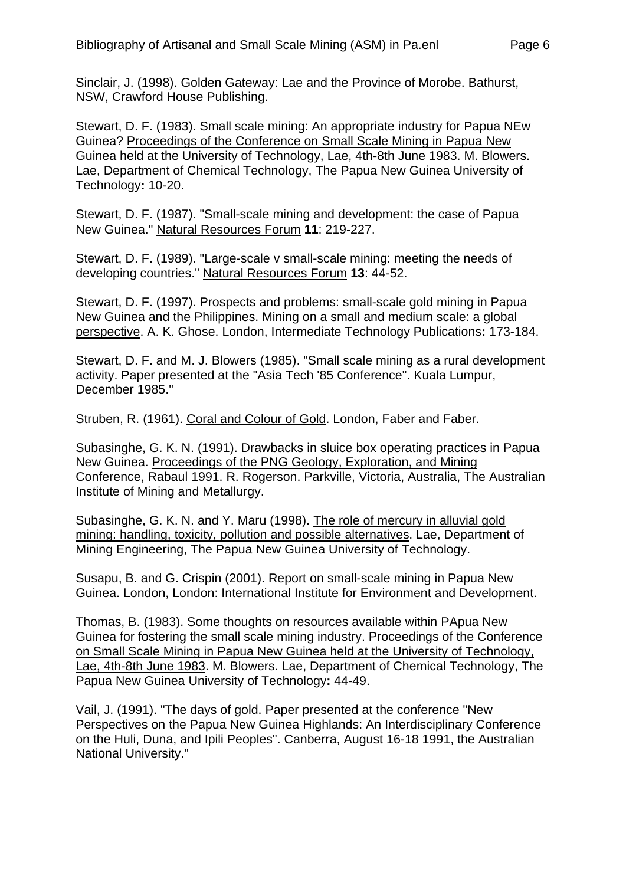Sinclair, J. (1998). Golden Gateway: Lae and the Province of Morobe. Bathurst, NSW, Crawford House Publishing.

Stewart, D. F. (1983). Small scale mining: An appropriate industry for Papua NEw Guinea? Proceedings of the Conference on Small Scale Mining in Papua New Guinea held at the University of Technology, Lae, 4th-8th June 1983. M. Blowers. Lae, Department of Chemical Technology, The Papua New Guinea University of Technology**:** 10-20.

Stewart, D. F. (1987). "Small-scale mining and development: the case of Papua New Guinea." Natural Resources Forum **11**: 219-227.

Stewart, D. F. (1989). "Large-scale v small-scale mining: meeting the needs of developing countries." Natural Resources Forum **13**: 44-52.

Stewart, D. F. (1997). Prospects and problems: small-scale gold mining in Papua New Guinea and the Philippines. Mining on a small and medium scale: a global perspective. A. K. Ghose. London, Intermediate Technology Publications**:** 173-184.

Stewart, D. F. and M. J. Blowers (1985). "Small scale mining as a rural development activity. Paper presented at the "Asia Tech '85 Conference". Kuala Lumpur, December 1985."

Struben, R. (1961). Coral and Colour of Gold. London, Faber and Faber.

Subasinghe, G. K. N. (1991). Drawbacks in sluice box operating practices in Papua New Guinea. Proceedings of the PNG Geology, Exploration, and Mining Conference, Rabaul 1991. R. Rogerson. Parkville, Victoria, Australia, The Australian Institute of Mining and Metallurgy.

Subasinghe, G. K. N. and Y. Maru (1998). The role of mercury in alluvial gold mining: handling, toxicity, pollution and possible alternatives. Lae, Department of Mining Engineering, The Papua New Guinea University of Technology.

Susapu, B. and G. Crispin (2001). Report on small-scale mining in Papua New Guinea. London, London: International Institute for Environment and Development.

Thomas, B. (1983). Some thoughts on resources available within PApua New Guinea for fostering the small scale mining industry. Proceedings of the Conference on Small Scale Mining in Papua New Guinea held at the University of Technology, Lae, 4th-8th June 1983. M. Blowers. Lae, Department of Chemical Technology, The Papua New Guinea University of Technology**:** 44-49.

Vail, J. (1991). "The days of gold. Paper presented at the conference "New Perspectives on the Papua New Guinea Highlands: An Interdisciplinary Conference on the Huli, Duna, and Ipili Peoples". Canberra, August 16-18 1991, the Australian National University."